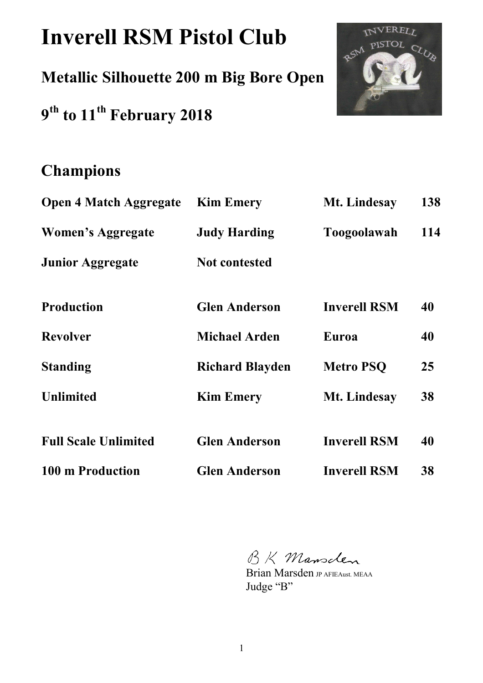# **Inverell RSM Pistol Club**

**Metallic Silhouette 200 m Big Bore Open** 

**9 th to 11th February 2018** 



# **Champions**

| <b>Open 4 Match Aggregate</b> | <b>Kim Emery</b>       | Mt. Lindesay        | 138 |
|-------------------------------|------------------------|---------------------|-----|
| Women's Aggregate             | <b>Judy Harding</b>    | <b>Toogoolawah</b>  | 114 |
| <b>Junior Aggregate</b>       | <b>Not contested</b>   |                     |     |
| <b>Production</b>             | <b>Glen Anderson</b>   | <b>Inverell RSM</b> | 40  |
| <b>Revolver</b>               | <b>Michael Arden</b>   | Euroa               | 40  |
| <b>Standing</b>               | <b>Richard Blayden</b> | <b>Metro PSQ</b>    | 25  |
| <b>Unlimited</b>              | <b>Kim Emery</b>       | Mt. Lindesay        | 38  |
| <b>Full Scale Unlimited</b>   | <b>Glen Anderson</b>   | <b>Inverell RSM</b> | 40  |
| 100 m Production              | <b>Glen Anderson</b>   | <b>Inverell RSM</b> | 38  |

BK Mansclen

Brian Marsden JP AFIEAust. MEAA Judge "B"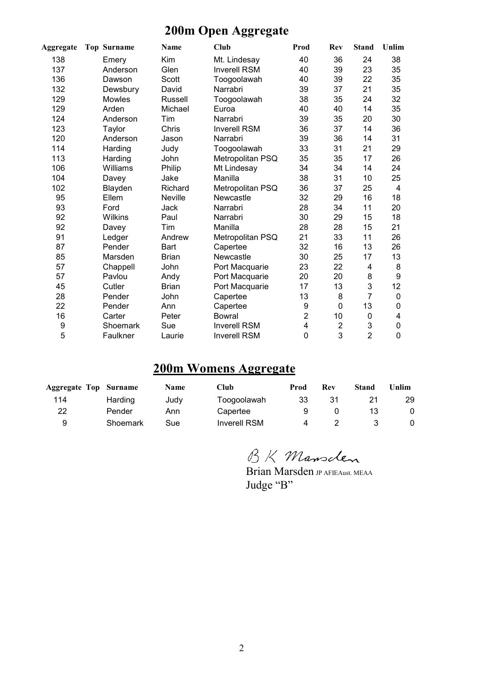## **200m Open Aggregate**

| <b>Aggregate</b> | <b>Top Surname</b> | Name           | Club                | Prod                    | Rev            | <b>Stand</b>   | Unlim |
|------------------|--------------------|----------------|---------------------|-------------------------|----------------|----------------|-------|
| 138              | Emery              | Kim            | Mt. Lindesay        | 40                      | 36             | 24             | 38    |
| 137              | Anderson           | Glen           | <b>Inverell RSM</b> | 40                      | 39             | 23             | 35    |
| 136              | Dawson             | Scott          | Toogoolawah         | 40                      | 39             | 22             | 35    |
| 132              | Dewsbury           | David          | Narrabri            | 39                      | 37             | 21             | 35    |
| 129              | Mowles             | Russell        | Toogoolawah         | 38                      | 35             | 24             | 32    |
| 129              | Arden              | Michael        | Euroa               | 40                      | 40             | 14             | 35    |
| 124              | Anderson           | Tim            | Narrabri            | 39                      | 35             | 20             | 30    |
| 123              | Taylor             | Chris          | <b>Inverell RSM</b> | 36                      | 37             | 14             | 36    |
| 120              | Anderson           | Jason          | Narrabri            | 39                      | 36             | 14             | 31    |
| 114              | Harding            | Judy           | Toogoolawah         | 33                      | 31             | 21             | 29    |
| 113              | Harding            | John           | Metropolitan PSQ    | 35                      | 35             | 17             | 26    |
| 106              | Williams           | Philip         | Mt Lindesay         | 34                      | 34             | 14             | 24    |
| 104              | Davey              | Jake           | Manilla             | 38                      | 31             | 10             | 25    |
| 102              | Blayden            | Richard        | Metropolitan PSQ    | 36                      | 37             | 25             | 4     |
| 95               | Ellem              | <b>Neville</b> | Newcastle           | 32                      | 29             | 16             | 18    |
| 93               | Ford               | Jack           | Narrabri            | 28                      | 34             | 11             | 20    |
| 92               | <b>Wilkins</b>     | Paul           | Narrabri            | 30                      | 29             | 15             | 18    |
| 92               | Davey              | Tim            | Manilla             | 28                      | 28             | 15             | 21    |
| 91               | Ledger             | Andrew         | Metropolitan PSQ    | 21                      | 33             | 11             | 26    |
| 87               | Pender             | Bart           | Capertee            | 32                      | 16             | 13             | 26    |
| 85               | Marsden            | <b>Brian</b>   | Newcastle           | 30                      | 25             | 17             | 13    |
| 57               | Chappell           | John           | Port Macquarie      | 23                      | 22             | 4              | 8     |
| 57               | Pavlou             | Andy           | Port Macquarie      | 20                      | 20             | 8              | 9     |
| 45               | Cutler             | <b>Brian</b>   | Port Macquarie      | 17                      | 13             | 3              | 12    |
| 28               | Pender             | John           | Capertee            | 13                      | 8              | 7              | 0     |
| 22               | Pender             | Ann            | Capertee            | 9                       | 0              | 13             | 0     |
| 16               | Carter             | Peter          | <b>Bowral</b>       | $\overline{c}$          | 10             | 0              | 4     |
| 9                | Shoemark           | Sue            | <b>Inverell RSM</b> | $\overline{\mathbf{4}}$ | $\overline{2}$ | 3              | 0     |
| 5                | Faulkner           | Laurie         | <b>Inverell RSM</b> | 0                       | 3              | $\overline{2}$ | 0     |

#### **200m Womens Aggregate**

| <b>Aggregate Top Surname</b> |          | <b>Name</b> | Club         | Prod | Rev | Stand | ∐nlim |
|------------------------------|----------|-------------|--------------|------|-----|-------|-------|
| 114                          | Harding  | Judv        | Toogoolawah  | 33   | 31  |       | 29    |
| 22                           | Pender   | Ann         | Capertee     | 9    |     |       |       |
|                              | Shoemark | Sue         | Inverell RSM |      |     |       |       |

BK Mansclen

Brian Marsden **JP AFIEAust. MEAA** Judge "B"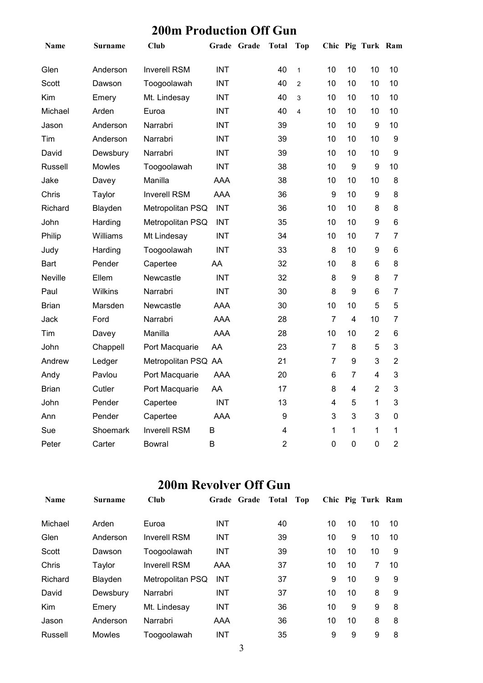#### **200m Production Off Gun**

| Name           | <b>Surname</b> | <b>Club</b>         | Grade Grade | <b>Total</b>            | Top                     |                |                         | Chic Pig Turk Ram |                |
|----------------|----------------|---------------------|-------------|-------------------------|-------------------------|----------------|-------------------------|-------------------|----------------|
| Glen           | Anderson       | <b>Inverell RSM</b> | <b>INT</b>  | 40                      | $\mathbf{1}$            | 10             | 10                      | 10                | 10             |
| Scott          | Dawson         | Toogoolawah         | <b>INT</b>  | 40                      | $\overline{2}$          | 10             | 10                      | 10                | 10             |
| Kim            | Emery          | Mt. Lindesay        | <b>INT</b>  | 40                      | 3                       | 10             | 10                      | 10                | 10             |
| Michael        | Arden          | Euroa               | <b>INT</b>  | 40                      | $\overline{\mathbf{4}}$ | 10             | 10                      | 10                | 10             |
| Jason          | Anderson       | Narrabri            | <b>INT</b>  | 39                      |                         | 10             | 10                      | 9                 | 10             |
| Tim            | Anderson       | Narrabri            | <b>INT</b>  | 39                      |                         | 10             | 10                      | 10                | 9              |
| David          | Dewsbury       | Narrabri            | <b>INT</b>  | 39                      |                         | 10             | 10                      | 10                | 9              |
| Russell        | Mowles         | Toogoolawah         | <b>INT</b>  | 38                      |                         | 10             | $\boldsymbol{9}$        | 9                 | 10             |
| Jake           | Davey          | Manilla             | <b>AAA</b>  | 38                      |                         | 10             | 10                      | 10                | 8              |
| Chris          | Taylor         | <b>Inverell RSM</b> | <b>AAA</b>  | 36                      |                         | 9              | 10                      | 9                 | 8              |
| Richard        | Blayden        | Metropolitan PSQ    | <b>INT</b>  | 36                      |                         | 10             | 10                      | 8                 | 8              |
| John           | Harding        | Metropolitan PSQ    | <b>INT</b>  | 35                      |                         | 10             | 10                      | $\boldsymbol{9}$  | 6              |
| Philip         | Williams       | Mt Lindesay         | <b>INT</b>  | 34                      |                         | 10             | 10                      | $\overline{7}$    | $\overline{7}$ |
| Judy           | Harding        | Toogoolawah         | <b>INT</b>  | 33                      |                         | 8              | 10                      | $\boldsymbol{9}$  | 6              |
| Bart           | Pender         | Capertee            | AA          | 32                      |                         | 10             | 8                       | 6                 | 8              |
| <b>Neville</b> | Ellem          | Newcastle           | <b>INT</b>  | 32                      |                         | 8              | $\boldsymbol{9}$        | 8                 | $\overline{7}$ |
| Paul           | Wilkins        | Narrabri            | <b>INT</b>  | 30                      |                         | 8              | 9                       | 6                 | $\overline{7}$ |
| <b>Brian</b>   | Marsden        | Newcastle           | <b>AAA</b>  | 30                      |                         | 10             | 10                      | 5                 | 5              |
| Jack           | Ford           | Narrabri            | <b>AAA</b>  | 28                      |                         | $\overline{7}$ | $\overline{4}$          | 10                | $\overline{7}$ |
| Tim            | Davey          | Manilla             | <b>AAA</b>  | 28                      |                         | 10             | 10                      | $\overline{2}$    | 6              |
| John           | Chappell       | Port Macquarie      | AA          | 23                      |                         | $\overline{7}$ | 8                       | 5                 | 3              |
| Andrew         | Ledger         | Metropolitan PSQ AA |             | 21                      |                         | $\overline{7}$ | $\boldsymbol{9}$        | $\mathbf{3}$      | $\overline{2}$ |
| Andy           | Pavlou         | Port Macquarie      | <b>AAA</b>  | 20                      |                         | 6              | $\overline{7}$          | 4                 | 3              |
| <b>Brian</b>   | Cutler         | Port Macquarie      | AA          | 17                      |                         | 8              | $\overline{\mathbf{4}}$ | $\overline{2}$    | 3              |
| John           | Pender         | Capertee            | <b>INT</b>  | 13                      |                         | 4              | 5                       | 1                 | 3              |
| Ann            | Pender         | Capertee            | <b>AAA</b>  | $\boldsymbol{9}$        |                         | 3              | $\mathbf{3}$            | $\mathbf{3}$      | $\mathbf 0$    |
| Sue            | Shoemark       | <b>Inverell RSM</b> | B           | $\overline{\mathbf{4}}$ |                         | 1              | 1                       | 1                 | 1              |
| Peter          | Carter         | Bowral              | B           | $\overline{2}$          |                         | $\mathbf 0$    | $\mathbf 0$             | $\mathbf 0$       | $\overline{2}$ |

## **200m Revolver Off Gun**

| <b>Name</b> | <b>Surname</b> | <b>Club</b>         |            | Grade Grade | Total | Top |    |    | Chic Pig Turk Ram |    |
|-------------|----------------|---------------------|------------|-------------|-------|-----|----|----|-------------------|----|
| Michael     | Arden          | Euroa               | <b>INT</b> |             | 40    |     | 10 | 10 | 10                | 10 |
| Glen        | Anderson       | <b>Inverell RSM</b> | <b>INT</b> |             | 39    |     | 10 | 9  | 10                | 10 |
| Scott       | Dawson         | Toogoolawah         | <b>INT</b> |             | 39    |     | 10 | 10 | 10                | 9  |
| Chris       | Taylor         | <b>Inverell RSM</b> | AAA        |             | 37    |     | 10 | 10 | 7                 | 10 |
| Richard     | Blayden        | Metropolitan PSQ    | <b>INT</b> |             | 37    |     | 9  | 10 | 9                 | 9  |
| David       | Dewsbury       | Narrabri            | <b>INT</b> |             | 37    |     | 10 | 10 | 8                 | 9  |
| Kim         | Emery          | Mt. Lindesay        | <b>INT</b> |             | 36    |     | 10 | 9  | 9                 | 8  |
| Jason       | Anderson       | Narrabri            | AAA        |             | 36    |     | 10 | 10 | 8                 | 8  |
| Russell     | <b>Mowles</b>  | Toogoolawah         | <b>INT</b> |             | 35    |     | 9  | 9  | 9                 | 8  |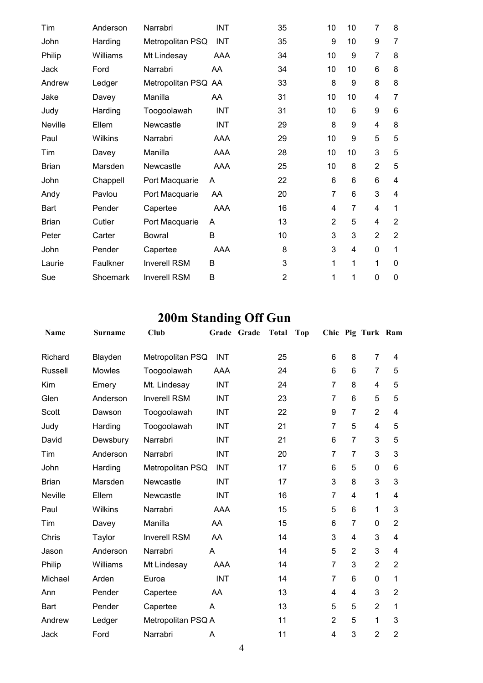| Tim            | Anderson | Narrabri            | <b>INT</b> | 35             | 10             | 10 | $\overline{7}$ | 8              |
|----------------|----------|---------------------|------------|----------------|----------------|----|----------------|----------------|
| John           | Harding  | Metropolitan PSQ    | <b>INT</b> | 35             | 9              | 10 | 9              | $\overline{7}$ |
| Philip         | Williams | Mt Lindesay         | AAA        | 34             | 10             | 9  | $\overline{7}$ | 8              |
| Jack           | Ford     | Narrabri            | AA         | 34             | 10             | 10 | 6              | 8              |
| Andrew         | Ledger   | Metropolitan PSQ AA |            | 33             | 8              | 9  | 8              | 8              |
| Jake           | Davey    | Manilla             | AA.        | 31             | 10             | 10 | 4              | 7              |
| Judy           | Harding  | Toogoolawah         | <b>INT</b> | 31             | 10             | 6  | 9              | 6              |
| <b>Neville</b> | Ellem    | Newcastle           | <b>INT</b> | 29             | 8              | 9  | 4              | 8              |
| Paul           | Wilkins  | Narrabri            | AAA        | 29             | 10             | 9  | 5              | 5              |
| Tim            | Davey    | Manilla             | AAA        | 28             | 10             | 10 | 3              | 5              |
| <b>Brian</b>   | Marsden  | Newcastle           | <b>AAA</b> | 25             | 10             | 8  | $\overline{2}$ | 5              |
| John           | Chappell | Port Macquarie      | A          | 22             | 6              | 6  | 6              | 4              |
| Andy           | Pavlou   | Port Macquarie      | AA         | 20             | $\overline{7}$ | 6  | 3              | 4              |
| <b>Bart</b>    | Pender   | Capertee            | AAA        | 16             | 4              | 7  | 4              | 1              |
| <b>Brian</b>   | Cutler   | Port Macquarie      | A          | 13             | $\overline{2}$ | 5  | 4              | $\overline{2}$ |
| Peter          | Carter   | Bowral              | B          | 10             | 3              | 3  | $\overline{2}$ | $\overline{2}$ |
| John           | Pender   | Capertee            | AAA        | 8              | 3              | 4  | 0              | 1              |
| Laurie         | Faulkner | <b>Inverell RSM</b> | B          | 3              | 1              | 1  | 1              | 0              |
| Sue            | Shoemark | <b>Inverell RSM</b> | B          | $\overline{2}$ | 1              | 1  | 0              | 0              |

## **200m Standing Off Gun**

| Name         | <b>Surname</b> | Club                |            | Grade Grade | <b>Total</b> | <b>Top</b> |                |                | Chic Pig Turk Ram |                |
|--------------|----------------|---------------------|------------|-------------|--------------|------------|----------------|----------------|-------------------|----------------|
| Richard      | Blayden        | Metropolitan PSQ    | <b>INT</b> |             | 25           |            | 6              | 8              | $\overline{7}$    | 4              |
| Russell      | Mowles         | Toogoolawah         | <b>AAA</b> |             | 24           |            | 6              | $6\phantom{1}$ | $\overline{7}$    | 5              |
| Kim          | Emery          | Mt. Lindesay        | <b>INT</b> |             | 24           |            | $\overline{7}$ | 8              | 4                 | 5              |
| Glen         | Anderson       | <b>Inverell RSM</b> | <b>INT</b> |             | 23           |            | 7              | 6              | 5                 | 5              |
| Scott        | Dawson         | Toogoolawah         | <b>INT</b> |             | 22           |            | 9              | $\overline{7}$ | $\overline{2}$    | 4              |
| Judy         | Harding        | Toogoolawah         | <b>INT</b> |             | 21           |            | 7              | 5              | 4                 | 5              |
| David        | Dewsbury       | Narrabri            | <b>INT</b> |             | 21           |            | 6              | $\overline{7}$ | 3                 | 5              |
| Tim          | Anderson       | Narrabri            | <b>INT</b> |             | 20           |            | $\overline{7}$ | $\overline{7}$ | 3                 | 3              |
| John         | Harding        | Metropolitan PSQ    | <b>INT</b> |             | 17           |            | 6              | 5              | $\mathbf{0}$      | 6              |
| <b>Brian</b> | Marsden        | Newcastle           | <b>INT</b> |             | 17           |            | 3              | 8              | 3                 | 3              |
| Neville      | Ellem          | Newcastle           | <b>INT</b> |             | 16           |            | $\overline{7}$ | $\overline{4}$ | 1                 | 4              |
| Paul         | Wilkins        | Narrabri            | <b>AAA</b> |             | 15           |            | 5              | 6              | 1                 | 3              |
| Tim          | Davey          | Manilla             | AA         |             | 15           |            | 6              | $\overline{7}$ | 0                 | $\overline{2}$ |
| Chris        | Taylor         | <b>Inverell RSM</b> | AA         |             | 14           |            | 3              | 4              | 3                 | 4              |
| Jason        | Anderson       | Narrabri            | Α          |             | 14           |            | 5              | $\overline{2}$ | 3                 | 4              |
| Philip       | Williams       | Mt Lindesay         | <b>AAA</b> |             | 14           |            | 7              | 3              | $\overline{2}$    | $\overline{2}$ |
| Michael      | Arden          | Euroa               | <b>INT</b> |             | 14           |            | $\overline{7}$ | $\,6$          | $\mathbf 0$       | 1              |
| Ann          | Pender         | Capertee            | AA         |             | 13           |            | 4              | $\overline{4}$ | 3                 | $\overline{2}$ |
| Bart         | Pender         | Capertee            | A          |             | 13           |            | 5              | 5              | $\overline{2}$    | 1              |
| Andrew       | Ledger         | Metropolitan PSQ A  |            |             | 11           |            | $\overline{2}$ | 5              | 1                 | 3              |
| Jack         | Ford           | Narrabri            | A          |             | 11           |            | 4              | 3              | $\overline{2}$    | $\overline{2}$ |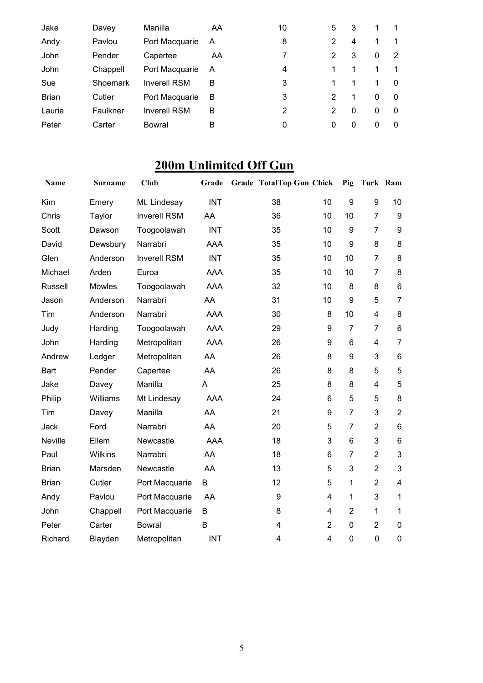| Jake         | Davey    | Manilla             | AA | 10 | 5              | 3 | 1 |          |
|--------------|----------|---------------------|----|----|----------------|---|---|----------|
| Andy         | Pavlou   | Port Macquarie      | A  | 8  | 2              | 4 |   |          |
| John         | Pender   | Capertee            | AA | 7  | $\overline{2}$ | 3 | 0 | 2        |
| John         | Chappell | Port Macquarie      | A  | 4  | 1              |   |   |          |
| Sue          | Shoemark | <b>Inverell RSM</b> | B  | 3  | 1              |   | 1 | $\Omega$ |
| <b>Brian</b> | Cutler   | Port Macquarie      | B  | 3  | 2              | 1 | 0 | 0        |
| Laurie       | Faulkner | <b>Inverell RSM</b> | B  | 2  | 2              | 0 | 0 | $\Omega$ |
| Peter        | Carter   | Bowral              | в  | 0  | 0              | 0 | 0 | 0        |
|              |          |                     |    |    |                |   |   |          |

## **200m Unlimited Off Gun**

| Name           | <b>Surname</b> | <b>Club</b>         | Grade      | <b>Grade TotalTop Gun Chick</b> |                | Pig              | Turk Ram       |                         |
|----------------|----------------|---------------------|------------|---------------------------------|----------------|------------------|----------------|-------------------------|
| Kim            | Emery          | Mt. Lindesay        | <b>INT</b> | 38                              | 10             | 9                | 9              | 10                      |
| Chris          | Taylor         | <b>Inverell RSM</b> | AA         | 36                              | 10             | 10               | $\overline{7}$ | 9                       |
| Scott          | Dawson         | Toogoolawah         | <b>INT</b> | 35                              | 10             | 9                | $\overline{7}$ | 9                       |
| David          | Dewsbury       | Narrabri            | <b>AAA</b> | 35                              | 10             | 9                | 8              | 8                       |
| Glen           | Anderson       | <b>Inverell RSM</b> | <b>INT</b> | 35                              | 10             | 10               | $\overline{7}$ | 8                       |
| Michael        | Arden          | Euroa               | <b>AAA</b> | 35                              | 10             | 10               | $\overline{7}$ | 8                       |
| <b>Russell</b> | Mowles         | Toogoolawah         | <b>AAA</b> | 32                              | 10             | 8                | 8              | $\,6$                   |
| Jason          | Anderson       | Narrabri            | AA         | 31                              | 10             | $\boldsymbol{9}$ | 5              | $\overline{7}$          |
| Tim            | Anderson       | Narrabri            | <b>AAA</b> | 30                              | 8              | 10               | $\overline{4}$ | 8                       |
| Judy           | Harding        | Toogoolawah         | <b>AAA</b> | 29                              | 9              | $\overline{7}$   | $\overline{7}$ | $\,6$                   |
| John           | Harding        | Metropolitan        | <b>AAA</b> | 26                              | 9              | 6                | 4              | $\overline{7}$          |
| Andrew         | Ledger         | Metropolitan        | AA         | 26                              | 8              | 9                | 3              | $6\phantom{1}6$         |
| <b>Bart</b>    | Pender         | Capertee            | AA         | 26                              | 8              | 8                | 5              | 5                       |
| Jake           | Davey          | Manilla             | A          | 25                              | 8              | 8                | 4              | 5                       |
| Philip         | Williams       | Mt Lindesay         | AAA        | 24                              | 6              | 5                | 5              | 8                       |
| Tim            | Davey          | Manilla             | AA         | 21                              | 9              | $\overline{7}$   | 3              | $\overline{2}$          |
| Jack           | Ford           | Narrabri            | AA         | 20                              | 5              | $\overline{7}$   | $\overline{2}$ | $\,6\,$                 |
| Neville        | Ellem          | Newcastle           | <b>AAA</b> | 18                              | 3              | $6\phantom{1}$   | 3              | $\,6$                   |
| Paul           | Wilkins        | Narrabri            | AA         | 18                              | $6\phantom{1}$ | $\overline{7}$   | $\overline{2}$ | $\mathbf{3}$            |
| <b>Brian</b>   | Marsden        | Newcastle           | AA         | 13                              | 5              | $\mathbf{3}$     | $\overline{2}$ | 3                       |
| <b>Brian</b>   | Cutler         | Port Macquarie      | B          | 12                              | 5              | 1                | $\overline{2}$ | $\overline{\mathbf{4}}$ |
| Andy           | Pavlou         | Port Macquarie      | AA         | 9                               | $\overline{4}$ | $\mathbf{1}$     | 3              | $\mathbf{1}$            |
| John           | Chappell       | Port Macquarie      | В          | 8                               | 4              | $\overline{2}$   | $\mathbf{1}$   | 1                       |
| Peter          | Carter         | <b>Bowral</b>       | B          | 4                               | $\overline{2}$ | $\mathbf 0$      | $\overline{2}$ | 0                       |
| Richard        | Blayden        | Metropolitan        | <b>INT</b> | 4                               | $\overline{4}$ | $\mathbf 0$      | $\mathbf 0$    | $\boldsymbol{0}$        |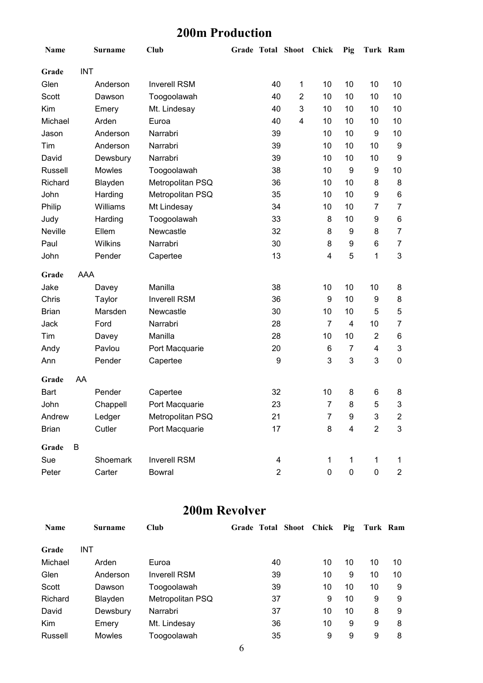## **200m Production**

| Name         |            | Surname  | <b>Club</b>         |                  | Grade Total Shoot       | Chick          | Pig                     | Turk Ram       |                |
|--------------|------------|----------|---------------------|------------------|-------------------------|----------------|-------------------------|----------------|----------------|
| Grade        | <b>INT</b> |          |                     |                  |                         |                |                         |                |                |
| Glen         |            | Anderson | <b>Inverell RSM</b> | 40               | $\mathbf{1}$            | 10             | 10                      | 10             | 10             |
| Scott        |            | Dawson   | Toogoolawah         | 40               | $\overline{2}$          | 10             | 10                      | 10             | 10             |
| Kim          |            | Emery    | Mt. Lindesay        | 40               | 3                       | 10             | 10                      | 10             | 10             |
| Michael      |            | Arden    | Euroa               | 40               | $\overline{\mathbf{4}}$ | 10             | 10                      | 10             | 10             |
| Jason        |            | Anderson | Narrabri            | 39               |                         | 10             | 10                      | 9              | 10             |
| Tim          |            | Anderson | Narrabri            | 39               |                         | 10             | 10                      | 10             | 9              |
| David        |            | Dewsbury | Narrabri            | 39               |                         | 10             | 10                      | 10             | 9              |
| Russell      |            | Mowles   | Toogoolawah         | 38               |                         | 10             | 9                       | 9              | 10             |
| Richard      |            | Blayden  | Metropolitan PSQ    | 36               |                         | 10             | 10                      | 8              | 8              |
| John         |            | Harding  | Metropolitan PSQ    | 35               |                         | 10             | 10                      | 9              | 6              |
| Philip       |            | Williams | Mt Lindesay         | 34               |                         | 10             | 10                      | $\overline{7}$ | $\overline{7}$ |
| Judy         |            | Harding  | Toogoolawah         | 33               |                         | 8              | 10                      | 9              | 6              |
| Neville      |            | Ellem    | Newcastle           | 32               |                         | 8              | 9                       | 8              | $\overline{7}$ |
| Paul         |            | Wilkins  | Narrabri            | 30               |                         | 8              | 9                       | 6              | 7              |
| John         |            | Pender   | Capertee            | 13               |                         | 4              | 5                       | 1              | $\mathfrak{B}$ |
| Grade        | <b>AAA</b> |          |                     |                  |                         |                |                         |                |                |
| Jake         |            | Davey    | Manilla             | 38               |                         | 10             | 10                      | 10             | 8              |
| Chris        |            | Taylor   | <b>Inverell RSM</b> | 36               |                         | 9              | 10                      | 9              | 8              |
| <b>Brian</b> |            | Marsden  | Newcastle           | 30               |                         | 10             | 10                      | 5              | 5              |
| Jack         |            | Ford     | Narrabri            | 28               |                         | $\overline{7}$ | $\overline{4}$          | 10             | 7              |
| Tim          |            | Davey    | Manilla             | 28               |                         | 10             | 10                      | $\overline{2}$ | 6              |
| Andy         |            | Pavlou   | Port Macquarie      | 20               |                         | 6              | $\overline{7}$          | 4              | 3              |
| Ann          |            | Pender   | Capertee            | 9                |                         | 3              | 3                       | 3              | 0              |
| Grade        | AA         |          |                     |                  |                         |                |                         |                |                |
| Bart         |            | Pender   | Capertee            | 32               |                         | 10             | 8                       | 6              | 8              |
| John         |            | Chappell | Port Macquarie      | 23               |                         | 7              | 8                       | 5              | 3              |
| Andrew       |            | Ledger   | Metropolitan PSQ    | 21               |                         | $\overline{7}$ | 9                       | 3              | $\overline{c}$ |
| <b>Brian</b> |            | Cutler   | Port Macquarie      | 17               |                         | 8              | $\overline{\mathbf{4}}$ | $\overline{2}$ | 3              |
| Grade        | B          |          |                     |                  |                         |                |                         |                |                |
| Sue          |            | Shoemark | <b>Inverell RSM</b> | 4                |                         | 1              | 1                       | 1              | 1              |
| Peter        |            | Carter   | Bowral              | $\boldsymbol{2}$ |                         | $\pmb{0}$      | 0                       | 0              | $\overline{2}$ |

#### **200m Revolver**

| <b>Name</b> | <b>Surname</b> | Club                |    | Grade Total Shoot Chick | Pig | Turk Ram |    |
|-------------|----------------|---------------------|----|-------------------------|-----|----------|----|
| Grade       | <b>INT</b>     |                     |    |                         |     |          |    |
| Michael     | Arden          | Euroa               | 40 | 10                      | 10  | 10       | 10 |
| Glen        | Anderson       | <b>Inverell RSM</b> | 39 | 10                      | 9   | 10       | 10 |
| Scott       | Dawson         | Toogoolawah         | 39 | 10                      | 10  | 10       | 9  |
| Richard     | Blayden        | Metropolitan PSQ    | 37 | 9                       | 10  | 9        | 9  |
| David       | Dewsbury       | Narrabri            | 37 | 10                      | 10  | 8        | 9  |
| <b>Kim</b>  | Emery          | Mt. Lindesay        | 36 | 10                      | 9   | 9        | 8  |
| Russell     | <b>Mowles</b>  | Toogoolawah         | 35 | 9                       | 9   | 9        | 8  |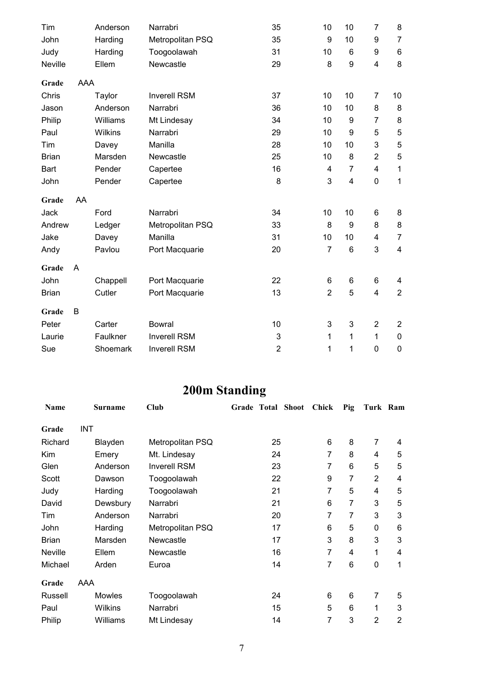| Tim          |     | Anderson | Narrabri            | 35             | 10             | 10                      | $\overline{7}$            | 8                       |
|--------------|-----|----------|---------------------|----------------|----------------|-------------------------|---------------------------|-------------------------|
| John         |     | Harding  | Metropolitan PSQ    | 35             | 9              | 10                      | 9                         | $\overline{7}$          |
| Judy         |     | Harding  | Toogoolawah         | 31             | 10             | $6\phantom{1}$          | 9                         | $\,6$                   |
| Neville      |     | Ellem    | Newcastle           | 29             | 8              | 9                       | 4                         | 8                       |
| Grade        | AAA |          |                     |                |                |                         |                           |                         |
| Chris        |     | Taylor   | <b>Inverell RSM</b> | 37             | 10             | 10                      | $\overline{7}$            | 10                      |
| Jason        |     | Anderson | Narrabri            | 36             | 10             | 10                      | 8                         | 8                       |
| Philip       |     | Williams | Mt Lindesay         | 34             | 10             | 9                       | $\overline{7}$            | 8                       |
| Paul         |     | Wilkins  | Narrabri            | 29             | 10             | 9                       | 5                         | $\sqrt{5}$              |
| Tim          |     | Davey    | Manilla             | 28             | 10             | 10                      | $\ensuremath{\mathsf{3}}$ | $\mathbf 5$             |
| <b>Brian</b> |     | Marsden  | Newcastle           | 25             | 10             | 8                       | $\overline{2}$            | $\sqrt{5}$              |
| <b>Bart</b>  |     | Pender   | Capertee            | 16             | 4              | $\overline{7}$          | 4                         | 1                       |
| John         |     | Pender   | Capertee            | 8              | 3              | $\overline{\mathbf{4}}$ | $\mathbf 0$               | $\mathbf 1$             |
| Grade        | AA  |          |                     |                |                |                         |                           |                         |
| Jack         |     | Ford     | Narrabri            | 34             | 10             | 10                      | 6                         | 8                       |
| Andrew       |     | Ledger   | Metropolitan PSQ    | 33             | 8              | 9                       | 8                         | $\bf 8$                 |
| Jake         |     | Davey    | Manilla             | 31             | 10             | 10                      | 4                         | $\overline{7}$          |
| Andy         |     | Pavlou   | Port Macquarie      | 20             | $\overline{7}$ | $6\phantom{1}$          | 3                         | $\overline{\mathbf{4}}$ |
| Grade        | A   |          |                     |                |                |                         |                           |                         |
| John         |     | Chappell | Port Macquarie      | 22             | 6              | 6                       | 6                         | 4                       |
| <b>Brian</b> |     | Cutler   | Port Macquarie      | 13             | $\overline{2}$ | 5                       | $\overline{4}$            | $\overline{2}$          |
| Grade        | B   |          |                     |                |                |                         |                           |                         |
| Peter        |     | Carter   | <b>Bowral</b>       | 10             | 3              | $\mathbf{3}$            | $\overline{2}$            | $\overline{2}$          |
| Laurie       |     | Faulkner | <b>Inverell RSM</b> | 3              | 1              | 1                       | $\mathbf{1}$              | $\pmb{0}$               |
| Sue          |     | Shoemark | <b>Inverell RSM</b> | $\overline{2}$ | 1              | 1                       | $\mathbf 0$               | $\mathbf 0$             |

# **200m Standing**

| Name           | <b>Surname</b> | Club                | Grade Total Shoot | <b>Chick</b>   | Pig | Turk Ram       |                |
|----------------|----------------|---------------------|-------------------|----------------|-----|----------------|----------------|
| Grade          | <b>INT</b>     |                     |                   |                |     |                |                |
| Richard        | Blayden        | Metropolitan PSQ    | 25                | 6              | 8   | $\overline{7}$ | 4              |
| Kim            | Emery          | Mt. Lindesay        | 24                | 7              | 8   | 4              | 5              |
| Glen           | Anderson       | <b>Inverell RSM</b> | 23                | $\overline{7}$ | 6   | 5              | 5              |
| Scott          | Dawson         | Toogoolawah         | 22                | 9              | 7   | $\overline{2}$ | 4              |
| Judy           | Harding        | Toogoolawah         | 21                | 7              | 5   | 4              | 5              |
| David          | Dewsbury       | Narrabri            | 21                | 6              | 7   | 3              | 5              |
| Tim            | Anderson       | Narrabri            | 20                | 7              | 7   | 3              | 3              |
| John           | Harding        | Metropolitan PSQ    | 17                | 6              | 5   | 0              | 6              |
| <b>Brian</b>   | Marsden        | Newcastle           | 17                | 3              | 8   | $\mathbf{3}$   | 3              |
| <b>Neville</b> | Ellem          | Newcastle           | 16                | 7              | 4   | 1              | 4              |
| Michael        | Arden          | Euroa               | 14                | 7              | 6   | 0              | 1              |
| Grade          | AAA            |                     |                   |                |     |                |                |
| Russell        | Mowles         | Toogoolawah         | 24                | 6              | 6   | 7              | 5              |
| Paul           | Wilkins        | Narrabri            | 15                | 5              | 6   | 1              | 3              |
| Philip         | Williams       | Mt Lindesay         | 14                | $\overline{7}$ | 3   | $\overline{2}$ | $\overline{2}$ |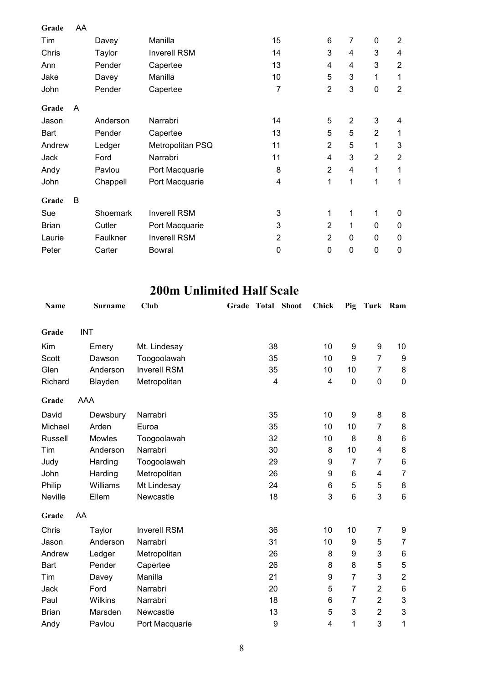| Grade        | AA |          |                     |                |                |                |                |                         |
|--------------|----|----------|---------------------|----------------|----------------|----------------|----------------|-------------------------|
| Tim          |    | Davey    | Manilla             | 15             | 6              | $\overline{7}$ | 0              | $\overline{2}$          |
| Chris        |    | Taylor   | <b>Inverell RSM</b> | 14             | 3              | 4              | 3              | 4                       |
| Ann          |    | Pender   | Capertee            | 13             | 4              | 4              | 3              | $\overline{2}$          |
| Jake         |    | Davey    | Manilla             | 10             | 5              | 3              | 1              | 1                       |
| John         |    | Pender   | Capertee            | 7              | $\overline{2}$ | 3              | $\mathbf 0$    | $\overline{2}$          |
| Grade        | A  |          |                     |                |                |                |                |                         |
| Jason        |    | Anderson | Narrabri            | 14             | 5              | $\overline{2}$ | 3              | $\overline{\mathbf{4}}$ |
| Bart         |    | Pender   | Capertee            | 13             | 5              | 5              | $\overline{2}$ | 1                       |
| Andrew       |    | Ledger   | Metropolitan PSQ    | 11             | $\overline{2}$ | 5              | 1              | 3                       |
| Jack         |    | Ford     | Narrabri            | 11             | 4              | 3              | $\overline{2}$ | $\overline{2}$          |
| Andy         |    | Pavlou   | Port Macquarie      | 8              | $\overline{2}$ | 4              | 1              | 1                       |
| John         |    | Chappell | Port Macquarie      | 4              | 1              | 1              | 1              | 1                       |
| Grade        | B  |          |                     |                |                |                |                |                         |
| Sue          |    | Shoemark | <b>Inverell RSM</b> | 3              | 1              | 1              | 1              | 0                       |
| <b>Brian</b> |    | Cutler   | Port Macquarie      | 3              | $\overline{2}$ | 1              | 0              | $\boldsymbol{0}$        |
| Laurie       |    | Faulkner | <b>Inverell RSM</b> | $\overline{2}$ | $\overline{2}$ | $\mathbf 0$    | 0              | 0                       |
| Peter        |    | Carter   | Bowral              | 0              | $\mathbf 0$    | $\mathbf 0$    | $\mathbf 0$    | $\mathbf 0$             |

## **200m Unlimited Half Scale**

| <b>Name</b>  | <b>Surname</b> | Club        |                     | Grade | <b>Total Shoot</b> | <b>Chick</b> | Pig              | Turk Ram       |                           |
|--------------|----------------|-------------|---------------------|-------|--------------------|--------------|------------------|----------------|---------------------------|
| Grade        | <b>INT</b>     |             |                     |       |                    |              |                  |                |                           |
| Kim          | Emery          |             | Mt. Lindesay        |       | 38                 | 10           | 9                | 9              | 10                        |
| Scott        | Dawson         |             | Toogoolawah         |       | 35                 | 10           | $\boldsymbol{9}$ | $\overline{7}$ | 9                         |
| Glen         | Anderson       |             | <b>Inverell RSM</b> |       | 35                 | 10           | 10               | 7              | 8                         |
| Richard      | Blayden        |             | Metropolitan        |       | 4                  | 4            | $\mathbf 0$      | 0              | $\pmb{0}$                 |
| Grade        | AAA            |             |                     |       |                    |              |                  |                |                           |
| David        | Dewsbury       | Narrabri    |                     |       | 35                 | 10           | 9                | 8              | 8                         |
| Michael      | Arden          | Euroa       |                     |       | 35                 | 10           | 10               | 7              | 8                         |
| Russell      | <b>Mowles</b>  |             | Toogoolawah         |       | 32                 | 10           | 8                | 8              | $\,6$                     |
| Tim          | Anderson       | Narrabri    |                     |       | 30                 | 8            | 10               | 4              | 8                         |
| Judy         | Harding        |             | Toogoolawah         |       | 29                 | 9            | $\overline{7}$   | 7              | 6                         |
| John         | Harding        |             | Metropolitan        |       | 26                 | 9            | 6                | 4              | $\overline{7}$            |
| Philip       | Williams       | Mt Lindesay |                     |       | 24                 | 6            | 5                | 5              | 8                         |
| Neville      | Ellem          | Newcastle   |                     |       | 18                 | 3            | 6                | 3              | $6\phantom{1}$            |
| Grade        | AA             |             |                     |       |                    |              |                  |                |                           |
| Chris        | Taylor         |             | <b>Inverell RSM</b> |       | 36                 | 10           | 10               | $\overline{7}$ | 9                         |
| Jason        | Anderson       | Narrabri    |                     |       | 31                 | 10           | 9                | 5              | $\overline{7}$            |
| Andrew       | Ledger         |             | Metropolitan        |       | 26                 | 8            | 9                | 3              | 6                         |
| <b>Bart</b>  | Pender         | Capertee    |                     |       | 26                 | 8            | 8                | 5              | 5                         |
| Tim          | Davey          | Manilla     |                     |       | 21                 | 9            | 7                | 3              | $\boldsymbol{2}$          |
| Jack         | Ford           | Narrabri    |                     |       | 20                 | 5            | $\overline{7}$   | $\overline{2}$ | $\,6$                     |
| Paul         | Wilkins        | Narrabri    |                     |       | 18                 | 6            | 7                | $\overline{2}$ | 3                         |
| <b>Brian</b> | Marsden        | Newcastle   |                     |       | 13                 | 5            | 3                | $\overline{2}$ | $\ensuremath{\mathsf{3}}$ |
| Andy         | Pavlou         |             | Port Macquarie      |       | $\boldsymbol{9}$   | 4            | 1                | 3              | 1                         |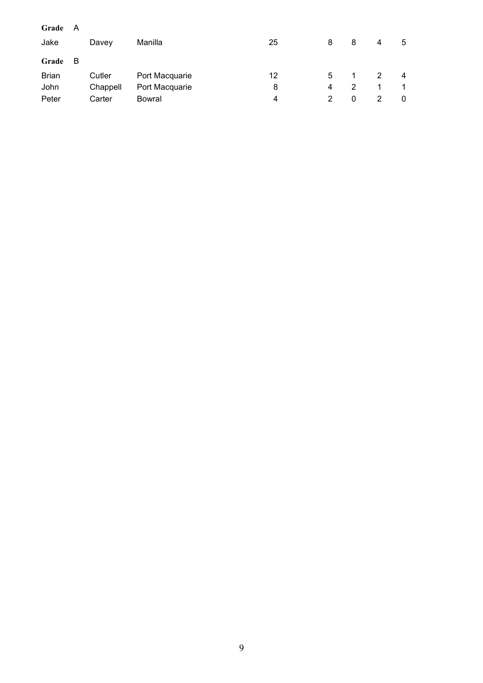| Grade        | A   |          |                |    |   |   |               |   |
|--------------|-----|----------|----------------|----|---|---|---------------|---|
| Jake         |     | Davey    | Manilla        | 25 | 8 | 8 | 4             | 5 |
| Grade        | - B |          |                |    |   |   |               |   |
| <b>Brian</b> |     | Cutler   | Port Macquarie | 12 | 5 |   | $\mathcal{P}$ | 4 |
| John         |     | Chappell | Port Macquarie | 8  | 4 | 2 |               | 1 |
| Peter        |     | Carter   | Bowral         | 4  | 2 | 0 |               | 0 |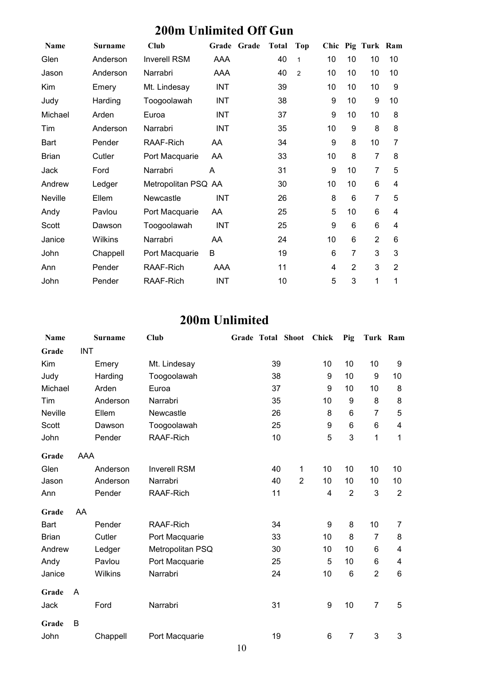## **200m Unlimited Off Gun**

| <b>Name</b>  | <b>Surname</b> | Club                |            | Grade Grade | <b>Total</b> | Top            |    |                | Chic Pig Turk Ram |                |
|--------------|----------------|---------------------|------------|-------------|--------------|----------------|----|----------------|-------------------|----------------|
| Glen         | Anderson       | <b>Inverell RSM</b> | AAA        |             | 40           | $\mathbf{1}$   | 10 | 10             | 10                | 10             |
| Jason        | Anderson       | Narrabri            | AAA        |             | 40           | $\overline{2}$ | 10 | 10             | 10                | 10             |
| Kim          | Emery          | Mt. Lindesay        | <b>INT</b> |             | 39           |                | 10 | 10             | 10                | 9              |
| Judy         | Harding        | Toogoolawah         | <b>INT</b> |             | 38           |                | 9  | 10             | 9                 | 10             |
| Michael      | Arden          | Euroa               | INT        |             | 37           |                | 9  | 10             | 10                | 8              |
| Tim          | Anderson       | Narrabri            | <b>INT</b> |             | 35           |                | 10 | 9              | 8                 | 8              |
| Bart         | Pender         | RAAF-Rich           | AA         |             | 34           |                | 9  | 8              | 10                | $\overline{7}$ |
| <b>Brian</b> | Cutler         | Port Macquarie      | AA         |             | 33           |                | 10 | 8              | $\overline{7}$    | 8              |
| Jack         | Ford           | Narrabri            | A          |             | 31           |                | 9  | 10             | $\overline{7}$    | 5              |
| Andrew       | Ledger         | Metropolitan PSQ AA |            |             | 30           |                | 10 | 10             | 6                 | 4              |
| Neville      | Ellem          | Newcastle           | <b>INT</b> |             | 26           |                | 8  | 6              | $\overline{7}$    | 5              |
| Andy         | Pavlou         | Port Macquarie      | AA         |             | 25           |                | 5  | 10             | 6                 | 4              |
| Scott        | Dawson         | Toogoolawah         | <b>INT</b> |             | 25           |                | 9  | 6              | 6                 | 4              |
| Janice       | Wilkins        | Narrabri            | AA         |             | 24           |                | 10 | 6              | $\overline{2}$    | 6              |
| John         | Chappell       | Port Macquarie      | B          |             | 19           |                | 6  | 7              | 3                 | 3              |
| Ann          | Pender         | RAAF-Rich           | AAA        |             | 11           |                | 4  | $\overline{2}$ | 3                 | $\overline{2}$ |
| John         | Pender         | RAAF-Rich           | <b>INT</b> |             | 10           |                | 5  | 3              | 1                 | 1              |

#### **200m Unlimited**

| Name           |            | <b>Surname</b> | Club                |    | Grade Total Shoot | <b>Chick</b> | Pig            | Turk Ram       |                |
|----------------|------------|----------------|---------------------|----|-------------------|--------------|----------------|----------------|----------------|
| Grade          | <b>INT</b> |                |                     |    |                   |              |                |                |                |
| Kim            |            | Emery          | Mt. Lindesay        | 39 |                   | 10           | 10             | 10             | 9              |
| Judy           |            | Harding        | Toogoolawah         | 38 |                   | 9            | 10             | 9              | 10             |
| Michael        |            | Arden          | Euroa               | 37 |                   | 9            | 10             | 10             | 8              |
| Tim            |            | Anderson       | Narrabri            | 35 |                   | 10           | 9              | 8              | 8              |
| <b>Neville</b> |            | Ellem          | Newcastle           | 26 |                   | 8            | 6              | 7              | 5              |
| Scott          |            | Dawson         | Toogoolawah         | 25 |                   | 9            | 6              | 6              | 4              |
| John           |            | Pender         | RAAF-Rich           | 10 |                   | 5            | 3              | 1              | 1              |
| Grade          | AAA        |                |                     |    |                   |              |                |                |                |
| Glen           |            | Anderson       | <b>Inverell RSM</b> | 40 | 1                 | 10           | 10             | 10             | 10             |
| Jason          |            | Anderson       | Narrabri            | 40 | $\overline{2}$    | 10           | 10             | 10             | 10             |
| Ann            |            | Pender         | RAAF-Rich           | 11 |                   | 4            | $\overline{2}$ | 3              | $\overline{2}$ |
| Grade          | AA         |                |                     |    |                   |              |                |                |                |
| <b>Bart</b>    |            | Pender         | RAAF-Rich           | 34 |                   | 9            | 8              | 10             | $\overline{7}$ |
| <b>Brian</b>   |            | Cutler         | Port Macquarie      | 33 |                   | 10           | 8              | $\overline{7}$ | 8              |
| Andrew         |            | Ledger         | Metropolitan PSQ    | 30 |                   | 10           | 10             | $\,6$          | 4              |
| Andy           |            | Pavlou         | Port Macquarie      | 25 |                   | 5            | 10             | 6              | 4              |
| Janice         |            | Wilkins        | Narrabri            | 24 |                   | 10           | 6              | $\overline{2}$ | $6\phantom{1}$ |
| Grade          | A          |                |                     |    |                   |              |                |                |                |
| Jack           |            | Ford           | Narrabri            | 31 |                   | 9            | 10             | $\overline{7}$ | 5              |
| Grade          | B          |                |                     |    |                   |              |                |                |                |
| John           |            | Chappell       | Port Macquarie      | 19 |                   | 6            | 7              | 3              | 3              |